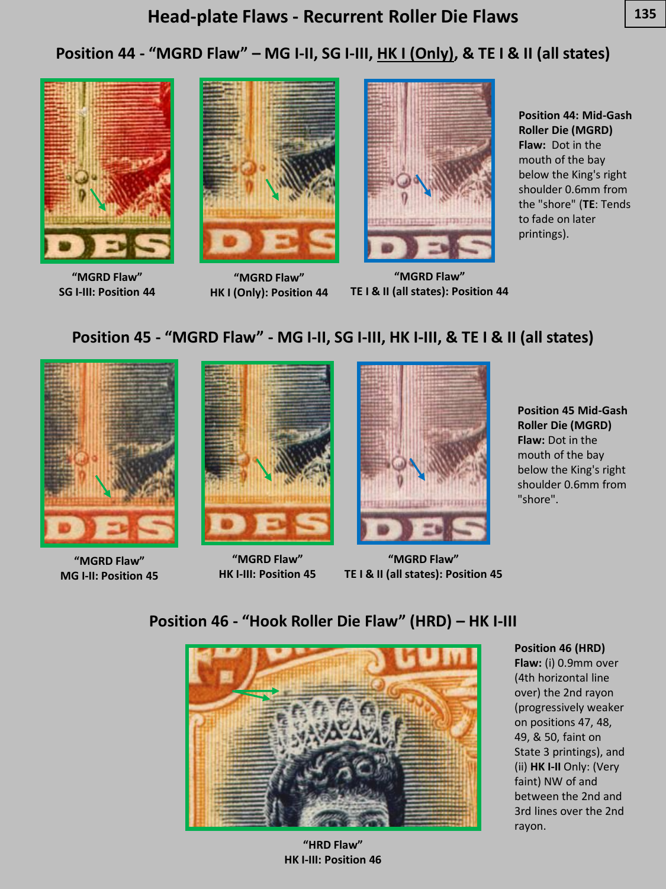# **Position 44 - "MGRD Flaw" – MG I-II, SG I-III, HK I (Only), & TE I & II (all states)**



**"MGRD Flaw" SG I-III: Position 44**



**"MGRD Flaw" HK I (Only): Position 44**



**"MGRD Flaw" TE I & II (all states): Position 44**

**Position 44: Mid-Gash Roller Die (MGRD) Flaw:** Dot in the mouth of the bay below the King's right shoulder 0.6mm from the "shore" (**TE**: Tends to fade on later printings).

### **Position 45 - "MGRD Flaw" - MG I-II, SG I-III, HK I-III, & TE I & II (all states)**



**"MGRD Flaw" MG I-II: Position 45**



**"MGRD Flaw" HK I-III: Position 45**



**"MGRD Flaw" TE I & II (all states): Position 45**

**Position 45 Mid-Gash Roller Die (MGRD) Flaw:** Dot in the mouth of the bay below the King's right shoulder 0.6mm from "shore".

**Position 46 - "Hook Roller Die Flaw" (HRD) – HK I-III**



**"HRD Flaw" HK I-III: Position 46**

**Position 46 (HRD) Flaw:** (i) 0.9mm over (4th horizontal line over) the 2nd rayon (progressively weaker on positions 47, 48, 49, & 50, faint on State 3 printings), and (ii) **HK I-II** Only: (Very faint) NW of and between the 2nd and 3rd lines over the 2nd rayon.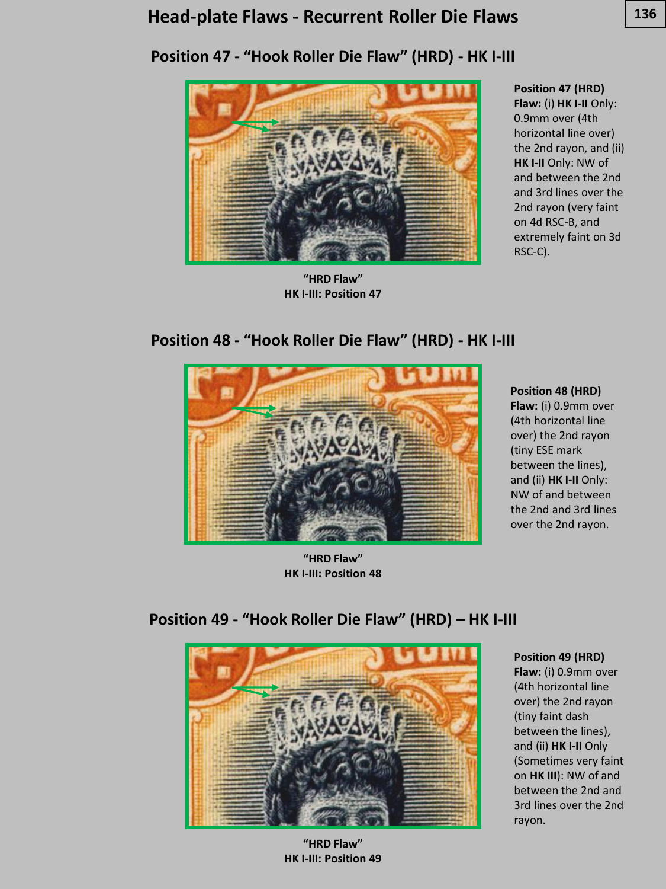### **Head 136 -plate Flaws - Recurrent Roller Die Flaws**





**"HRD Flaw" HK I-III: Position 47**

## **Position 47 (HRD)**

**Flaw:** (i) **HK I-II** Only: 0.9mm over (4th horizontal line over) the 2nd rayon, and (ii) **HK I-II** Only: NW of and between the 2nd and 3rd lines over the 2nd rayon (very faint on 4d RSC-B, and extremely faint on 3d RSC-C).





**"HRD Flaw" HK I-III: Position 48**

**Position 48 (HRD)** 

**Flaw:** (i) 0.9mm over (4th horizontal line over) the 2nd rayon (tiny ESE mark between the lines), and (ii) **HK I-II** Only: NW of and between the 2nd and 3rd lines over the 2nd rayon.

**Position 49 - "Hook Roller Die Flaw" (HRD) – HK I-III**



**"HRD Flaw" HK I-III: Position 49**

#### **Position 49 (HRD) Flaw:** (i) 0.9mm over

(4th horizontal line over) the 2nd rayon (tiny faint dash between the lines), and (ii) **HK I-II** Only (Sometimes very faint on **HK III**): NW of and between the 2nd and 3rd lines over the 2nd rayon.